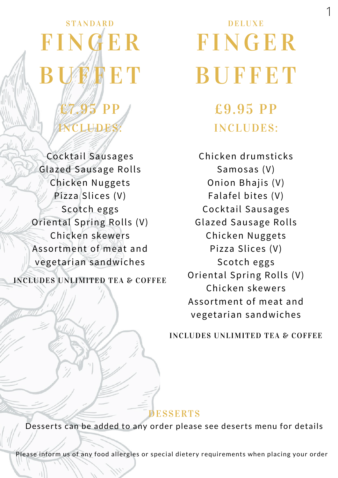## STANDARD FINGER BUF ET  $\overline{P}$ **ILLIDE**

Cocktail Sausages Glazed Sausage Rolls Chicken Nuggets Pizza Slices (V) Scotch eggs Oriental Spring Rolls (V) Chicken skewers Assortment of meat and vegetarian sandwiches

INCLUDES UNLIMITED TEA & COFFEE

# DELUXE F INGER **BUFFET**

1

£9.95 PP INCLUDES:

Chicken drumsticks Samosas (V) Onion Bhajis (V) Falafel bites (V) Cocktail Sausages Glazed Sausage Rolls Chicken Nuggets Pizza Slices (V) Scotch eggs Oriental Spring Rolls (V) Chicken skewers Assortment of meat and vegetarian sandwiches

INCLUDES UNLIMITED TEA & COFFEE

#### DESSERTS

Desserts can be added to any order please see deserts menu for details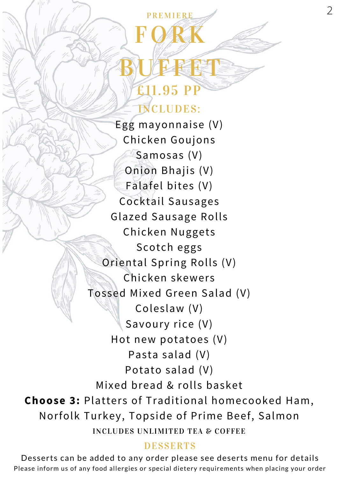### PREMIERE FORK BUFFFT £11.95 P INCLUDES:

INCLUDES UNLIMITED TEA & COFFEE Egg mayonnaise (V) Chicken Goujons Samosas (V) Onion Bhajis (V) Falafel bites (V) Cocktail Sausages Glazed Sausage Rolls Chicken Nuggets Scotch eggs Oriental Spring Rolls (V) Chicken skewers Tossed Mixed Green Salad (V) Coleslaw (V) Savoury rice (V) Hot new potatoes (V) Pasta salad (V) Potato salad (V) Mixed bread & rolls basket **Choose 3:** Platters of Traditional homecooked Ham, Norfolk Turkey, Topside of Prime Beef, Salmon

### **DESSERTS**

Please inform us of any food allergies or special dietery requirements when placing your order Desserts can be added to any order please see deserts menu for details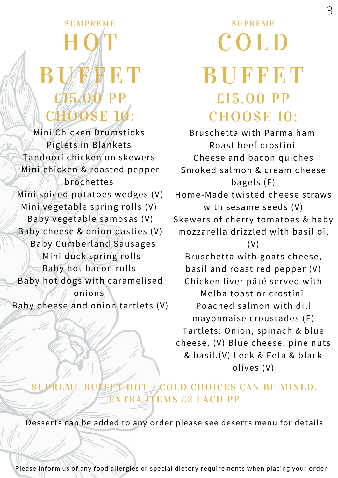### **SUMPREME** H QT **BUF ET** p<sub>p</sub> **OOSE 10**

Mini Chicken Drumsticks Piglets in Blankets Tandoori chicken on skewers Mini chicken & roasted pepper brochettes Mini spiced potatoes wedges (V) Mini vegetable spring rolls (V) Baby vegetable samosas (V) Baby cheese & onion pasties (V) Baby Cumberland Sausages Mini duck spring rolls Baby hot bacon rolls Baby hot dogs with caramelised onions Baby cheese and onion tartlets (V)

### **SUPREME** C O LD **BUFFET** £15.00 PP CHOOSE 10:

Bruschetta with Parma ham Roast beef crostini Cheese and bacon quiches Smoked salmon & cream cheese bagels (F) Home-Made twisted cheese straws with sesame seeds (V) Skewers of cherry tomatoes & baby mozzarella drizzled with basil oil (V) Bruschetta with goats cheese, basil and roast red pepper (V) Chicken liver pâté served with Melba toast or crostini Poached salmon with dill mayonnaise croustades (F) Tartlets: Onion, spinach & blue cheese. (V) Blue cheese, pine nuts & basil.(V) Leek & Feta & black olives (V)

### SUPREME BUFFET HOT  $\neq$  COLD CHOICES CAN BE MIXED. EXTRA ITEMS £2 EACH PP

Desserts can be added to any order please see deserts menu for details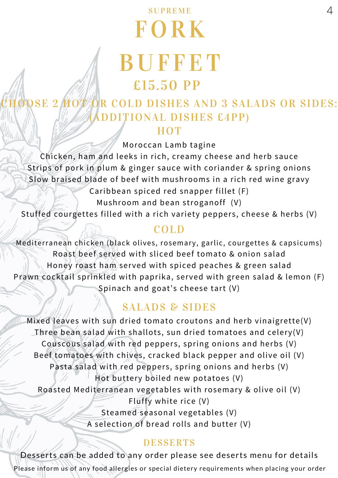### SUPREME **FORK BUFFET** £15.50 PP

### SE 2 HOT OR COLD DISHES AND 3 SALADS OR SIDES: (ADDITIONAL DISHES £4PP) **HOT**

Moroccan Lamb tagine

Chicken, ham and leeks in rich, creamy cheese and herb sauce Strips of pork in plum & ginger sauce with coriander & spring onions Slow braised blade of beef with mushrooms in a rich red wine gravy

Caribbean spiced red snapper fillet (F)

Mushroom and bean stroganoff (V)

Stuffed courgettes filled with a rich variety peppers, cheese & herbs (V)

### COLD

Mediterranean chicken (black olives, rosemary, garlic, courgettes & capsicums) Roast beef served with sliced beef tomato & onion salad Honey roast ham served with spiced peaches & green salad Prawn cocktail sprinkled with paprika, served with green salad & lemon (F) Spinach and goat's cheese tart (V)

### SALADS & SIDES

Mixed leaves with sun dried tomato croutons and herb vinaigrette(V) Three bean salad with shallots, sun dried tomatoes and celery(V) Couscous salad with red peppers, spring onions and herbs (V) Beef tomatoes with chives, cracked black pepper and olive oil (V) Pasta salad with red peppers, spring onions and herbs (V) Hot buttery boiled new potatoes (V) Roasted Mediterranean vegetables with rosemary & olive oil (V) Fluffy white rice (V) Steamed seasonal vegetables (V) A selection of bread rolls and butter (V)

### **DESSERTS**

Please inform us of any food allergies or special dietery requirements when placing your order Desserts can be added to any order please see deserts menu for details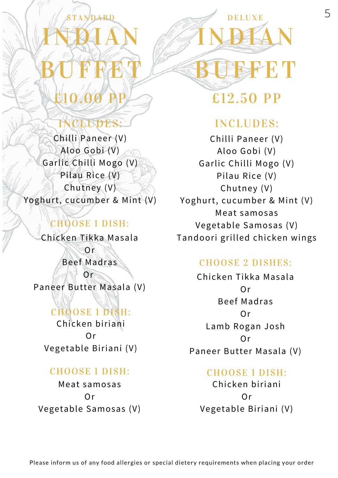# ARD INDIAN BUFFET £10.00 PP

### CLUDES:

Chilli Paneer (V) Aloo Gobi (V) Garlic Chilli Mogo (V) Pilau Rice (V) Chutney (V) Yoghurt, cucumber & Mint (V)

### CHOOSE 1 DISH:

Chicken Tikka Masala

Or Beef Madras Or

Paneer Butter Masala (V)

CHOOSE 1 DISH: Chicken biriani  $Or$ Vegetable Biriani (V)

#### CHOOSE 1 DISH:

Meat samosas Or Vegetable Samosas (V) £12.50 PP

SFETT

DELUXE

INDIAN

### INCLUDES:

Chilli Paneer (V) Aloo Gobi (V) Garlic Chilli Mogo (V) Pilau Rice (V) Chutney (V) Yoghurt, cucumber & Mint (V) Meat samosas Vegetable Samosas (V) Tandoori grilled chicken wings

### CHOOSE 2 DISHES:

Chicken Tikka Masala Or Beef Madras Or Lamb Rogan Josh Or Paneer Butter Masala (V)

### CHOOSE 1 DISH:

Chicken biriani Or Vegetable Biriani (V)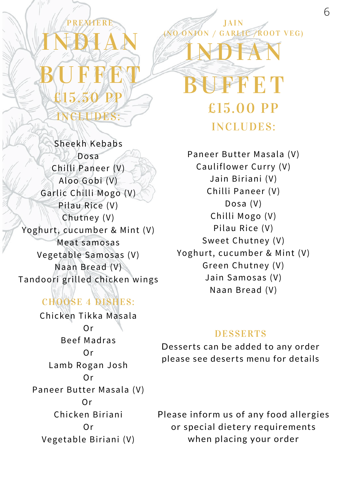# **MIER** INDIAN **BUFFET** £15.50 PP

GEUDES:

Sheekh Kebabs Dosa Chilli Paneer (V) Aloo Gobi (V) Garlic Chilli Mogo (V) Pilau Rice (V) Chutney (V) Yoghurt, cucumber & Mint (V) Meat samosas Vegetable Samosas (V) Naan Bread (V) Tandoori grilled chicken wings

### CHOOSE 4 DISHES:

Chicken Tikka Masala Or Beef Madras Or Lamb Rogan Josh Or Paneer Butter Masala (V)  $Or$ Chicken Biriani Or Vegetable Biriani (V)

Paneer Butter Masala (V) Cauliflower Curry (V) Jain Biriani (V) Chilli Paneer (V) Dosa (V) Chilli Mogo (V) Pilau Rice (V) Sweet Chutney (V) Yoghurt, cucumber & Mint (V) Green Chutney (V) Jain Samosas (V) Naan Bread (V)

JAIN O ONION / GARLIC /ROOT VEG)

INDIAN

**FFET** 

£15.00 PP

INCLUDES:

#### DESSERTS

Desserts can be added to any order please see deserts menu for details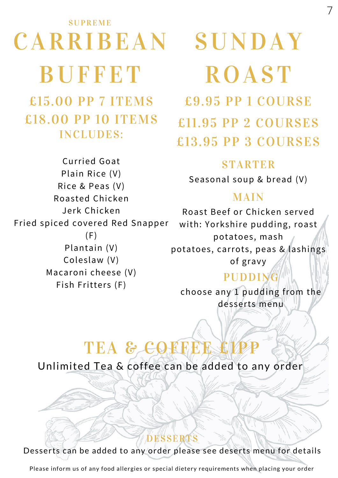# **SUPREME** CARRIBEAN SUNDAY **BUFFET**

£15.00 PP 7 ITEMS £18.00 PP 10 ITEMS INCLUDES:

Curried Goat Plain Rice (V) Rice & Peas (V) Roasted Chicken Jerk Chicken Fried spiced covered Red Snapper  $(F)$ Plantain (V) Coleslaw (V) Macaroni cheese (V) Fish Fritters (F)

# **ROAST** £9.95 PP 1 COURSE

7

£11.95 PP 2 COURSES £13.95 PP 3 COURSES

### **STARTER**

Seasonal soup & bread (V)

### MAIN

Roast Beef or Chicken served with: Yorkshire pudding, roast potatoes, mash potatoes, carrots, peas & lashings of gravy

### PUDDING

choose any 1 pudding from the desserts menu

### TEA & COFFEE £1

Unlimited Tea & coffee can be added to any order

Desserts can be added to any order please see deserts menu for details

DESSERTS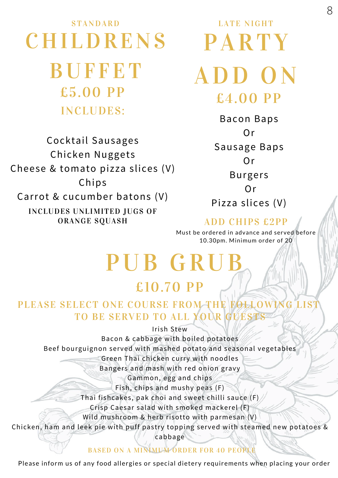### STANDARD CHILDRENS BUFFET £5.00 PP INCLUDES:

INCLUDES UNLIMITED JUGS OF ORANGE SQUASH Cocktail Sausages Chicken Nuggets Cheese & tomato pizza slices (V) Chips Carrot & cucumber batons (V)

LATE NIGHT **PARTY** ADD O N £4.00 PP

> Bacon Baps Or Sausage Baps Or Burgers Or Pizza slices (V)

#### ADD CHIPS £2PP

Must be ordered in advance and served before 10.30pm. Minimum order of 20

### PUB GRI £10.70 PP

### PLEASE SELECT ONE COURSE FROM THE FOLLOWING LIST TO BE SERVED TO ALL YOUR GUEST

Irish Stew

Bacon & cabbage with boiled potatoes

Beef bourguignon served with mashed potato and seasonal vegetables

Green Thai chicken curry with noodles

Bangers and mash with red onion gravy

Gammon, egg and chips

Fish, chips and mushy peas (F)

Thai fishcakes, pak choi and sweet chilli sauce (F)

Crisp Caesar salad with smoked mackerel (F)

Wild mushroom & herb risotto with parmesan (V)

Chicken, ham and leek pie with puff pastry topping served with steamed new potatoes &

cabbage

#### BASED ON A MINIMUM ORDER FOR 40 PEOPLE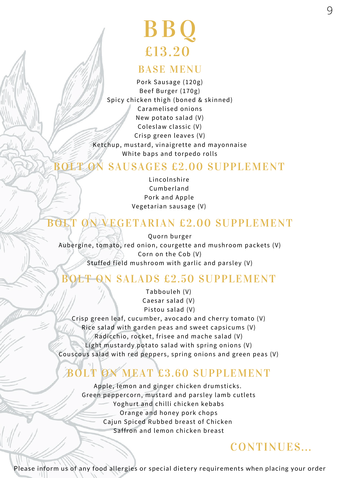### BB Q £13.20

#### BASE MENU

Pork Sausage (120g) Beef Burger (170g) Spicy chicken thigh (boned & skinned) Caramelised onions New potato salad (V) Coleslaw classic (V) Crisp green leaves (V) Ketchup, mustard, vinaigrette and mayonnaise White baps and torpedo rolls

### BOLT ON SAUSAGES £2.00 SUPPLEMENT

Lincolnshire Cumberland Pork and Apple Vegetarian sausage (V)

### BOLT ON VEGETARIAN £2.00 SUPPLEMENT

Quorn burger Aubergine, tomato, red onion, courgette and mushroom packets (V) Corn on the Cob (V) Stuffed field mushroom with garlic and parsley (V)

### SALADS £2.50 SUPPLEMENT

Tabbouleh (V) Caesar salad (V) Pistou salad (V)

Crisp green leaf, cucumber, avocado and cherry tomato (V) Rice salad with garden peas and sweet capsicums (V) Radicchio, rocket, frisee and mache salad (V) Light mustardy potato salad with spring onions (V) Couscous salad with red peppers, spring onions and green peas (V)

### **MEAT £3.60 SUPPLEMENT**

Apple, lemon and ginger chicken drumsticks. Green peppercorn, mustard and parsley lamb cutlets Yoghurt and chilli chicken kebabs Orange and honey pork chops Cajun Spiced Rubbed breast of Chicken Saffron and lemon chicken breast

### CONTINUES...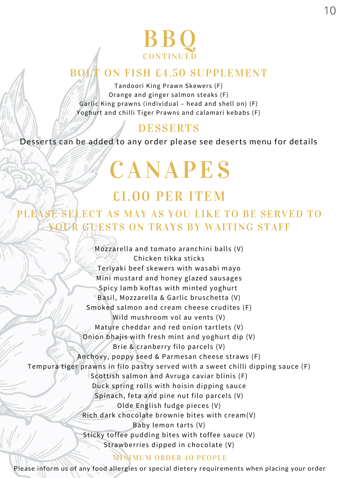### BB Q **CONTINUED**

### ON FISH £4.50 SUPPLEMENT

Tandoori King Prawn Skewers (F) Orange and ginger salmon steaks (F) Garlic King prawns (individual – head and shell on) (F) Yoghurt and chilli Tiger Prawns and calamari kebabs (F)

### DESSERTS

Desserts can be added to any order please see deserts menu for details

# CANAPES

### £1.00 PER ITEM

### PLEASE SELECT AS MAY AS YOU LIKE TO BE SERVED TO YOUR GUESTS ON TRAYS BY WAITING STAFF

Mozzarella and tomato aranchini balls (V) Chicken tikka sticks Teriyaki beef skewers with wasabi mayo Mini mustard and honey glazed sausages Spicy lamb koftas with minted yoghurt Basil, Mozzarella & Garlic bruschetta (V) Smoked salmon and cream cheese crudites (F) Wild mushroom vol au vents (V) Mature cheddar and red onion tartlets (V) Onion bhajis with fresh mint and yoghurt dip (V) Brie & cranberry filo parcels (V) Anchovy, poppy seed & Parmesan cheese straws (F) Tempura tiger prawns in filo pastry served with a sweet chilli dipping sauce (F) Scottish salmon and Avruga caviar blinis (F) Duck spring rolls with hoisin dipping sauce Spinach, feta and pine nut filo parcels (V) Olde English fudge pieces (V) Rich dark chocolate brownie bites with cream(V) Baby lemon tarts (V) Sticky toffee pudding bites with toffee sauce (V) Strawberries dipped in chocolate (V)

#### MINIMUM ORDER 40 PEOPLE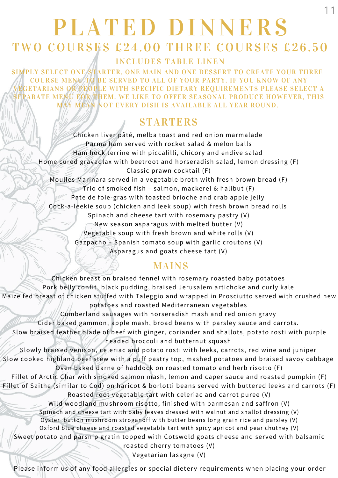### PLATED DINNERS TWO COURSES £24.00 THREE COURSES £26.50

11

INCLUDES TABLE LINEN

SIMPLY SELECT ONE STARTER, ONE MAIN AND ONE DESSERT TO CREATE YOUR THREE-COURSE MENU TO BE SERVED TO ALL OF YOUR PARTY. IF YOU KNOW OF ANY GETARIANS OR PEOPLE WITH SPECIFIC DIETARY REQUIREMENTS PLEASE SELECT A SEPARATE MENU FOR THEM. WE LIKE TO OFFER SEASONAL PRODUCE HOWEVER, THIS MAY MEAN NOT EVERY DISH IS AVAILABLE ALL YEAR ROUND.

### **STARTERS**

Chicken liver pâté, melba toast and red onion marmalade Parma ham served with rocket salad & melon balls Ham hock terrine with piccalilli, chicory and endive salad Home cured gravadlax with beetroot and horseradish salad, lemon dressing (F) Classic prawn cocktail (F) Moulles Marinara served in a vegetable broth with fresh brown bread (F) Trio of smoked fish – salmon, mackerel & halibut (F) Pate de foie-gras with toasted brioche and crab apple jelly Cock-a-leekie soup (chicken and leek soup) with fresh brown bread rolls Spinach and cheese tart with rosemary pastry (V) New season asparagus with melted butter (V) Vegetable soup with fresh brown and white rolls (V) Gazpacho – Spanish tomato soup with garlic croutons (V) Asparagus and goats cheese tart (V)

### MAINS

Chicken breast on braised fennel with rosemary roasted baby potatoes Pork belly confit, black pudding, braised Jerusalem artichoke and curly kale Maize fed breast of chicken stuffed with Taleggio and wrapped in Prosciutto served with crushed new potatoes and roasted Mediterranean vegetables Cumberland sausages with horseradish mash and red onion gravy Cider baked gammon, apple mash, broad beans with parsley sauce and carrots. Slow braised feather blade of beef with ginger, coriander and shallots, potato rosti with purple headed broccoli and butternut squash Slowly braised venison, celeriac and potato rosti with leeks, carrots, red wine and juniper Slow cooked highland beef stew with a puff pastry top, mashed potatoes and braised savoy cabbage Oven baked darne of haddock on roasted tomato and herb risotto (F) Fillet of Arctic Char with smoked salmon mash, lemon and caper sauce and roasted pumpkin (F) Fillet of Saithe (similar to Cod) on haricot & borlotti beans served with buttered leeks and carrots (F) Roasted root vegetable tart with celeriac and carrot puree (V) Wild woodland mushroom risotto, finished with parmesan and saffron (V) Spinach and cheese tart with baby leaves dressed with walnut and shallot dressing (V) Oyster button mushroom stroganoff with butter beans long grain rice and parsley (V) Oxford blue cheese and roasted vegetable tart with spicy apricot and pear chutney (V) Sweet potato and parsnip gratin topped with Cotswold goats cheese and served with balsamic roasted cherry tomatoes (V) Vegetarian lasagne (V)